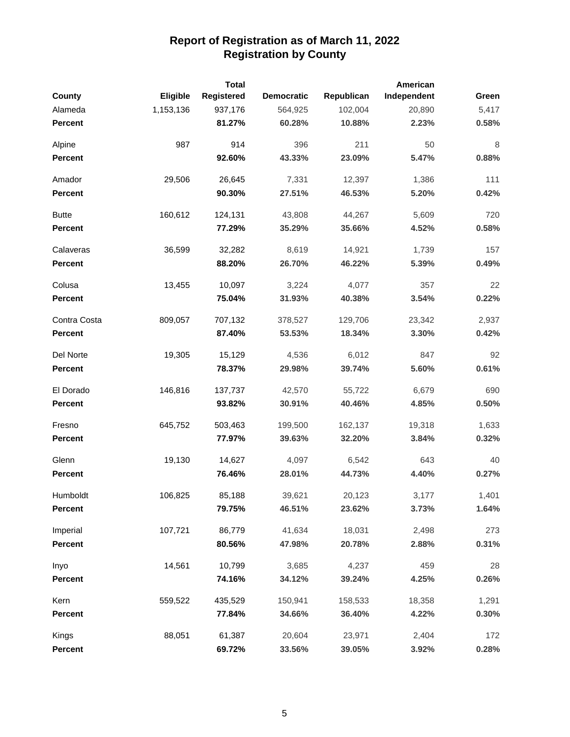|                |           | <b>Total</b> |                   |            | American    |       |
|----------------|-----------|--------------|-------------------|------------|-------------|-------|
| County         | Eligible  | Registered   | <b>Democratic</b> | Republican | Independent | Green |
| Alameda        | 1,153,136 | 937,176      | 564,925           | 102,004    | 20,890      | 5,417 |
| <b>Percent</b> |           | 81.27%       | 60.28%            | 10.88%     | 2.23%       | 0.58% |
| Alpine         | 987       | 914          | 396               | 211        | 50          | 8     |
| <b>Percent</b> |           | 92.60%       | 43.33%            | 23.09%     | 5.47%       | 0.88% |
| Amador         | 29,506    | 26,645       | 7,331             | 12,397     | 1,386       | 111   |
| Percent        |           | 90.30%       | 27.51%            | 46.53%     | 5.20%       | 0.42% |
| <b>Butte</b>   | 160,612   | 124,131      | 43,808            | 44,267     | 5,609       | 720   |
| <b>Percent</b> |           | 77.29%       | 35.29%            | 35.66%     | 4.52%       | 0.58% |
| Calaveras      | 36,599    | 32,282       | 8,619             | 14,921     | 1,739       | 157   |
| <b>Percent</b> |           | 88.20%       | 26.70%            | 46.22%     | 5.39%       | 0.49% |
| Colusa         | 13,455    | 10,097       | 3,224             | 4,077      | 357         | 22    |
| <b>Percent</b> |           | 75.04%       | 31.93%            | 40.38%     | 3.54%       | 0.22% |
| Contra Costa   | 809,057   | 707,132      | 378,527           | 129,706    | 23,342      | 2,937 |
| <b>Percent</b> |           | 87.40%       | 53.53%            | 18.34%     | 3.30%       | 0.42% |
| Del Norte      | 19,305    | 15,129       | 4,536             | 6,012      | 847         | 92    |
| <b>Percent</b> |           | 78.37%       | 29.98%            | 39.74%     | 5.60%       | 0.61% |
| El Dorado      | 146,816   | 137,737      | 42,570            | 55,722     | 6,679       | 690   |
| <b>Percent</b> |           | 93.82%       | 30.91%            | 40.46%     | 4.85%       | 0.50% |
| Fresno         | 645,752   | 503,463      | 199,500           | 162,137    | 19,318      | 1,633 |
| <b>Percent</b> |           | 77.97%       | 39.63%            | 32.20%     | 3.84%       | 0.32% |
| Glenn          | 19,130    | 14,627       | 4,097             | 6,542      | 643         | 40    |
| <b>Percent</b> |           | 76.46%       | 28.01%            | 44.73%     | 4.40%       | 0.27% |
| Humboldt       | 106,825   | 85,188       | 39,621            | 20,123     | 3,177       | 1,401 |
| <b>Percent</b> |           | 79.75%       | 46.51%            | 23.62%     | 3.73%       | 1.64% |
| Imperial       | 107,721   | 86,779       | 41,634            | 18,031     | 2,498       | 273   |
| Percent        |           | 80.56%       | 47.98%            | 20.78%     | 2.88%       | 0.31% |
| Inyo           | 14,561    | 10,799       | 3,685             | 4,237      | 459         | 28    |
| Percent        |           | 74.16%       | 34.12%            | 39.24%     | 4.25%       | 0.26% |
| Kern           | 559,522   | 435,529      | 150,941           | 158,533    | 18,358      | 1,291 |
| Percent        |           | 77.84%       | 34.66%            | 36.40%     | 4.22%       | 0.30% |
| Kings          | 88,051    | 61,387       | 20,604            | 23,971     | 2,404       | 172   |
| Percent        |           | 69.72%       | 33.56%            | 39.05%     | 3.92%       | 0.28% |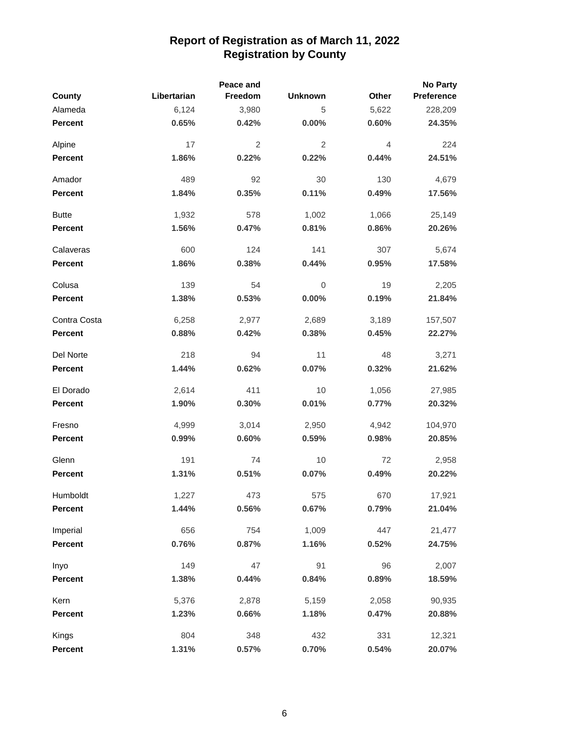|                |             | Peace and      |                |       | <b>No Party</b> |
|----------------|-------------|----------------|----------------|-------|-----------------|
| County         | Libertarian | Freedom        | <b>Unknown</b> | Other | Preference      |
| Alameda        | 6,124       | 3,980          | 5              | 5,622 | 228,209         |
| <b>Percent</b> | 0.65%       | 0.42%          | $0.00\%$       | 0.60% | 24.35%          |
| Alpine         | 17          | $\overline{2}$ | 2              | 4     | 224             |
| <b>Percent</b> | 1.86%       | 0.22%          | 0.22%          | 0.44% | 24.51%          |
| Amador         | 489         | 92             | 30             | 130   | 4,679           |
| <b>Percent</b> | 1.84%       | 0.35%          | 0.11%          | 0.49% | 17.56%          |
| <b>Butte</b>   | 1,932       | 578            | 1,002          | 1,066 | 25,149          |
| <b>Percent</b> | 1.56%       | 0.47%          | 0.81%          | 0.86% | 20.26%          |
| Calaveras      | 600         | 124            | 141            | 307   | 5,674           |
| <b>Percent</b> | 1.86%       | 0.38%          | 0.44%          | 0.95% | 17.58%          |
| Colusa         | 139         | 54             | $\mathbf 0$    | 19    | 2,205           |
| Percent        | 1.38%       | 0.53%          | 0.00%          | 0.19% | 21.84%          |
| Contra Costa   | 6,258       | 2,977          | 2,689          | 3,189 | 157,507         |
| <b>Percent</b> | 0.88%       | 0.42%          | 0.38%          | 0.45% | 22.27%          |
| Del Norte      | 218         | 94             | 11             | 48    | 3,271           |
| <b>Percent</b> | 1.44%       | 0.62%          | 0.07%          | 0.32% | 21.62%          |
| El Dorado      | 2,614       | 411            | 10             | 1,056 | 27,985          |
| <b>Percent</b> | 1.90%       | 0.30%          | 0.01%          | 0.77% | 20.32%          |
| Fresno         | 4,999       | 3,014          | 2,950          | 4,942 | 104,970         |
| Percent        | 0.99%       | 0.60%          | 0.59%          | 0.98% | 20.85%          |
| Glenn          | 191         | 74             | 10             | 72    | 2,958           |
| <b>Percent</b> | 1.31%       | 0.51%          | 0.07%          | 0.49% | 20.22%          |
| Humboldt       | 1,227       | 473            | 575            | 670   | 17,921          |
| <b>Percent</b> | 1.44%       | 0.56%          | 0.67%          | 0.79% | 21.04%          |
| Imperial       | 656         | 754            | 1,009          | 447   | 21,477          |
| <b>Percent</b> | 0.76%       | 0.87%          | 1.16%          | 0.52% | 24.75%          |
| Inyo           | 149         | 47             | 91             | 96    | 2,007           |
| Percent        | 1.38%       | 0.44%          | 0.84%          | 0.89% | 18.59%          |
| Kern           | 5,376       | 2,878          | 5,159          | 2,058 | 90,935          |
| <b>Percent</b> | 1.23%       | 0.66%          | 1.18%          | 0.47% | 20.88%          |
| Kings          | 804         | 348            | 432            | 331   | 12,321          |
| Percent        | 1.31%       | 0.57%          | 0.70%          | 0.54% | 20.07%          |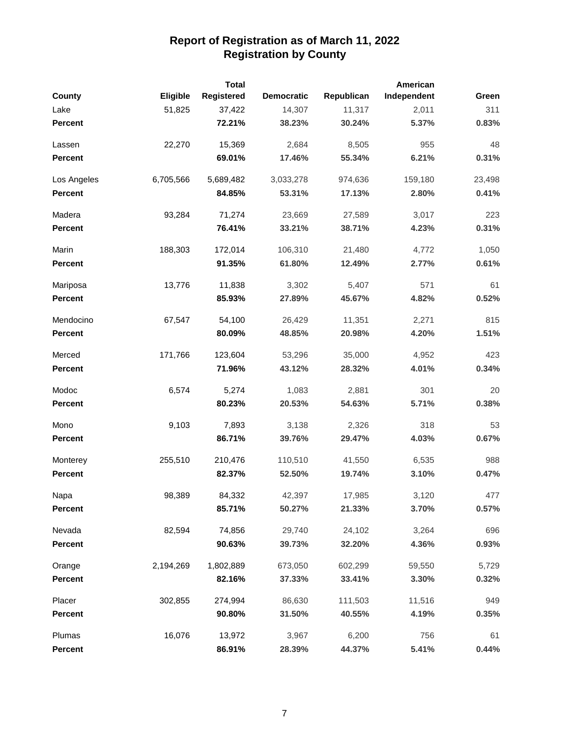|                |           | <b>Total</b> |                   |            | American    |        |
|----------------|-----------|--------------|-------------------|------------|-------------|--------|
| County         | Eligible  | Registered   | <b>Democratic</b> | Republican | Independent | Green  |
| Lake           | 51,825    | 37,422       | 14,307            | 11,317     | 2,011       | 311    |
| <b>Percent</b> |           | 72.21%       | 38.23%            | 30.24%     | 5.37%       | 0.83%  |
| Lassen         | 22,270    | 15,369       | 2,684             | 8,505      | 955         | 48     |
| <b>Percent</b> |           | 69.01%       | 17.46%            | 55.34%     | 6.21%       | 0.31%  |
| Los Angeles    | 6,705,566 | 5,689,482    | 3,033,278         | 974,636    | 159,180     | 23,498 |
| Percent        |           | 84.85%       | 53.31%            | 17.13%     | 2.80%       | 0.41%  |
| Madera         | 93,284    | 71,274       | 23,669            | 27,589     | 3,017       | 223    |
| Percent        |           | 76.41%       | 33.21%            | 38.71%     | 4.23%       | 0.31%  |
| Marin          | 188,303   | 172,014      | 106,310           | 21,480     | 4,772       | 1,050  |
| <b>Percent</b> |           | 91.35%       | 61.80%            | 12.49%     | 2.77%       | 0.61%  |
| Mariposa       | 13,776    | 11,838       | 3,302             | 5,407      | 571         | 61     |
| Percent        |           | 85.93%       | 27.89%            | 45.67%     | 4.82%       | 0.52%  |
| Mendocino      | 67,547    | 54,100       | 26,429            | 11,351     | 2,271       | 815    |
| Percent        |           | 80.09%       | 48.85%            | 20.98%     | 4.20%       | 1.51%  |
| Merced         | 171,766   | 123,604      | 53,296            | 35,000     | 4,952       | 423    |
| <b>Percent</b> |           | 71.96%       | 43.12%            | 28.32%     | 4.01%       | 0.34%  |
| Modoc          | 6,574     | 5,274        | 1,083             | 2,881      | 301         | 20     |
| <b>Percent</b> |           | 80.23%       | 20.53%            | 54.63%     | 5.71%       | 0.38%  |
| Mono           | 9,103     | 7,893        | 3,138             | 2,326      | 318         | 53     |
| <b>Percent</b> |           | 86.71%       | 39.76%            | 29.47%     | 4.03%       | 0.67%  |
| Monterey       | 255,510   | 210,476      | 110,510           | 41,550     | 6,535       | 988    |
| <b>Percent</b> |           | 82.37%       | 52.50%            | 19.74%     | 3.10%       | 0.47%  |
| Napa           | 98,389    | 84,332       | 42,397            | 17,985     | 3,120       | 477    |
| <b>Percent</b> |           | 85.71%       | 50.27%            | 21.33%     | 3.70%       | 0.57%  |
| Nevada         | 82,594    | 74,856       | 29,740            | 24,102     | 3,264       | 696    |
| Percent        |           | 90.63%       | 39.73%            | 32.20%     | 4.36%       | 0.93%  |
| Orange         | 2,194,269 | 1,802,889    | 673,050           | 602,299    | 59,550      | 5,729  |
| Percent        |           | 82.16%       | 37.33%            | 33.41%     | 3.30%       | 0.32%  |
| Placer         | 302,855   | 274,994      | 86,630            | 111,503    | 11,516      | 949    |
| Percent        |           | 90.80%       | 31.50%            | 40.55%     | 4.19%       | 0.35%  |
| Plumas         | 16,076    | 13,972       | 3,967             | 6,200      | 756         | 61     |
| Percent        |           | 86.91%       | 28.39%            | 44.37%     | 5.41%       | 0.44%  |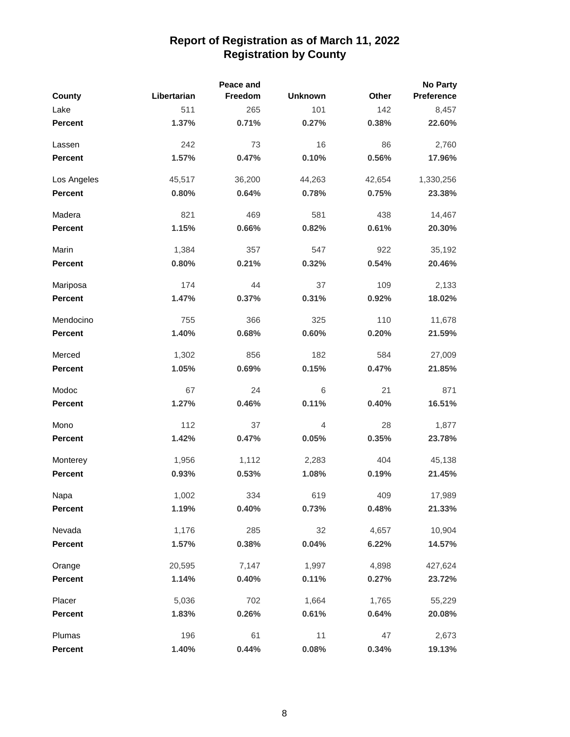|                |             | Peace and |                |        | No Party   |
|----------------|-------------|-----------|----------------|--------|------------|
| County         | Libertarian | Freedom   | <b>Unknown</b> | Other  | Preference |
| Lake           | 511         | 265       | 101            | 142    | 8,457      |
| <b>Percent</b> | 1.37%       | 0.71%     | 0.27%          | 0.38%  | 22.60%     |
| Lassen         | 242         | 73        | 16             | 86     | 2,760      |
| <b>Percent</b> | 1.57%       | 0.47%     | 0.10%          | 0.56%  | 17.96%     |
| Los Angeles    | 45,517      | 36,200    | 44,263         | 42,654 | 1,330,256  |
| <b>Percent</b> | 0.80%       | 0.64%     | 0.78%          | 0.75%  | 23.38%     |
| Madera         | 821         | 469       | 581            | 438    | 14,467     |
| <b>Percent</b> | 1.15%       | 0.66%     | 0.82%          | 0.61%  | 20.30%     |
| Marin          | 1,384       | 357       | 547            | 922    | 35,192     |
| <b>Percent</b> | 0.80%       | 0.21%     | 0.32%          | 0.54%  | 20.46%     |
| Mariposa       | 174         | 44        | 37             | 109    | 2,133      |
| Percent        | 1.47%       | 0.37%     | 0.31%          | 0.92%  | 18.02%     |
| Mendocino      | 755         | 366       | 325            | 110    | 11,678     |
| Percent        | 1.40%       | 0.68%     | 0.60%          | 0.20%  | 21.59%     |
| Merced         | 1,302       | 856       | 182            | 584    | 27,009     |
| Percent        | 1.05%       | 0.69%     | 0.15%          | 0.47%  | 21.85%     |
| Modoc          | 67          | 24        | 6              | 21     | 871        |
| Percent        | 1.27%       | 0.46%     | 0.11%          | 0.40%  | 16.51%     |
| Mono           | 112         | 37        | 4              | 28     | 1,877      |
| Percent        | 1.42%       | 0.47%     | 0.05%          | 0.35%  | 23.78%     |
| Monterey       | 1,956       | 1,112     | 2,283          | 404    | 45,138     |
| <b>Percent</b> | 0.93%       | 0.53%     | 1.08%          | 0.19%  | 21.45%     |
| Napa           | 1,002       | 334       | 619            | 409    | 17,989     |
| <b>Percent</b> | 1.19%       | 0.40%     | 0.73%          | 0.48%  | 21.33%     |
| Nevada         | 1,176       | 285       | 32             | 4,657  | 10,904     |
| <b>Percent</b> | 1.57%       | 0.38%     | 0.04%          | 6.22%  | 14.57%     |
| Orange         | 20,595      | 7,147     | 1,997          | 4,898  | 427,624    |
| <b>Percent</b> | 1.14%       | 0.40%     | 0.11%          | 0.27%  | 23.72%     |
| Placer         | 5,036       | 702       | 1,664          | 1,765  | 55,229     |
| <b>Percent</b> | 1.83%       | 0.26%     | 0.61%          | 0.64%  | 20.08%     |
| Plumas         | 196         | 61        | 11             | 47     | 2,673      |
| Percent        | 1.40%       | 0.44%     | 0.08%          | 0.34%  | 19.13%     |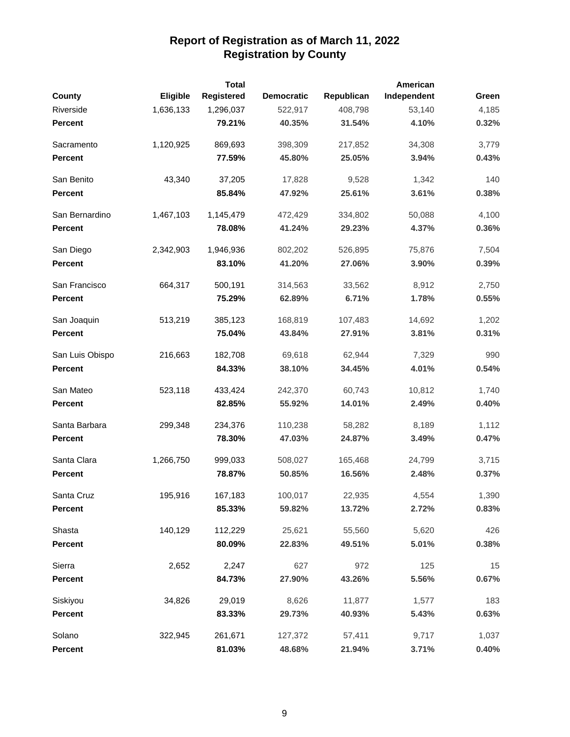|                 |           | <b>Total</b> |                   |            | American    |       |
|-----------------|-----------|--------------|-------------------|------------|-------------|-------|
| <b>County</b>   | Eligible  | Registered   | <b>Democratic</b> | Republican | Independent | Green |
| Riverside       | 1,636,133 | 1,296,037    | 522,917           | 408,798    | 53,140      | 4,185 |
| <b>Percent</b>  |           | 79.21%       | 40.35%            | 31.54%     | 4.10%       | 0.32% |
| Sacramento      | 1,120,925 | 869,693      | 398,309           | 217,852    | 34,308      | 3,779 |
| <b>Percent</b>  |           | 77.59%       | 45.80%            | 25.05%     | 3.94%       | 0.43% |
| San Benito      | 43,340    | 37,205       | 17,828            | 9,528      | 1,342       | 140   |
| Percent         |           | 85.84%       | 47.92%            | 25.61%     | 3.61%       | 0.38% |
| San Bernardino  | 1,467,103 | 1,145,479    | 472,429           | 334,802    | 50,088      | 4,100 |
| <b>Percent</b>  |           | 78.08%       | 41.24%            | 29.23%     | 4.37%       | 0.36% |
| San Diego       | 2,342,903 | 1,946,936    | 802,202           | 526,895    | 75,876      | 7,504 |
| <b>Percent</b>  |           | 83.10%       | 41.20%            | 27.06%     | 3.90%       | 0.39% |
| San Francisco   | 664,317   | 500,191      | 314,563           | 33,562     | 8,912       | 2,750 |
| <b>Percent</b>  |           | 75.29%       | 62.89%            | 6.71%      | 1.78%       | 0.55% |
| San Joaquin     | 513,219   | 385,123      | 168,819           | 107,483    | 14,692      | 1,202 |
| <b>Percent</b>  |           | 75.04%       | 43.84%            | 27.91%     | 3.81%       | 0.31% |
| San Luis Obispo | 216,663   | 182,708      | 69,618            | 62,944     | 7,329       | 990   |
| <b>Percent</b>  |           | 84.33%       | 38.10%            | 34.45%     | 4.01%       | 0.54% |
| San Mateo       | 523,118   | 433,424      | 242,370           | 60,743     | 10,812      | 1,740 |
| <b>Percent</b>  |           | 82.85%       | 55.92%            | 14.01%     | 2.49%       | 0.40% |
| Santa Barbara   | 299,348   | 234,376      | 110,238           | 58,282     | 8,189       | 1,112 |
| <b>Percent</b>  |           | 78.30%       | 47.03%            | 24.87%     | 3.49%       | 0.47% |
| Santa Clara     | 1,266,750 | 999,033      | 508,027           | 165,468    | 24,799      | 3,715 |
| <b>Percent</b>  |           | 78.87%       | 50.85%            | 16.56%     | 2.48%       | 0.37% |
| Santa Cruz      | 195,916   | 167,183      | 100,017           | 22,935     | 4,554       | 1,390 |
| <b>Percent</b>  |           | 85.33%       | 59.82%            | 13.72%     | 2.72%       | 0.83% |
| Shasta          | 140,129   | 112,229      | 25,621            | 55,560     | 5,620       | 426   |
| Percent         |           | 80.09%       | 22.83%            | 49.51%     | 5.01%       | 0.38% |
| Sierra          | 2,652     | 2,247        | 627               | 972        | 125         | 15    |
| Percent         |           | 84.73%       | 27.90%            | 43.26%     | 5.56%       | 0.67% |
| Siskiyou        | 34,826    | 29,019       | 8,626             | 11,877     | 1,577       | 183   |
| <b>Percent</b>  |           | 83.33%       | 29.73%            | 40.93%     | 5.43%       | 0.63% |
| Solano          | 322,945   | 261,671      | 127,372           | 57,411     | 9,717       | 1,037 |
| Percent         |           | 81.03%       | 48.68%            | 21.94%     | 3.71%       | 0.40% |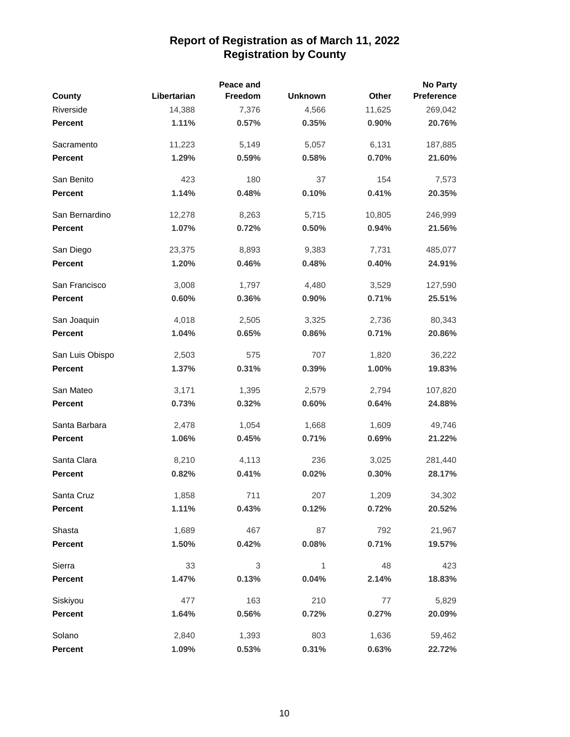|                 |             | Peace and |                |        | <b>No Party</b> |
|-----------------|-------------|-----------|----------------|--------|-----------------|
| County          | Libertarian | Freedom   | <b>Unknown</b> | Other  | Preference      |
| Riverside       | 14,388      | 7,376     | 4,566          | 11,625 | 269,042         |
| <b>Percent</b>  | 1.11%       | 0.57%     | 0.35%          | 0.90%  | 20.76%          |
| Sacramento      | 11,223      | 5,149     | 5,057          | 6,131  | 187,885         |
| Percent         | 1.29%       | 0.59%     | 0.58%          | 0.70%  | 21.60%          |
| San Benito      | 423         | 180       | 37             | 154    | 7,573           |
| <b>Percent</b>  | 1.14%       | 0.48%     | 0.10%          | 0.41%  | 20.35%          |
| San Bernardino  | 12,278      | 8,263     | 5,715          | 10,805 | 246,999         |
| <b>Percent</b>  | 1.07%       | 0.72%     | 0.50%          | 0.94%  | 21.56%          |
| San Diego       | 23,375      | 8,893     | 9,383          | 7,731  | 485,077         |
| Percent         | 1.20%       | 0.46%     | 0.48%          | 0.40%  | 24.91%          |
| San Francisco   | 3,008       | 1,797     | 4,480          | 3,529  | 127,590         |
| Percent         | 0.60%       | 0.36%     | 0.90%          | 0.71%  | 25.51%          |
| San Joaquin     | 4,018       | 2,505     | 3,325          | 2,736  | 80,343          |
| Percent         | 1.04%       | 0.65%     | 0.86%          | 0.71%  | 20.86%          |
| San Luis Obispo | 2,503       | 575       | 707            | 1,820  | 36,222          |
| <b>Percent</b>  | 1.37%       | 0.31%     | 0.39%          | 1.00%  | 19.83%          |
| San Mateo       | 3,171       | 1,395     | 2,579          | 2,794  | 107,820         |
| Percent         | 0.73%       | 0.32%     | 0.60%          | 0.64%  | 24.88%          |
| Santa Barbara   | 2,478       | 1,054     | 1,668          | 1,609  | 49,746          |
| Percent         | 1.06%       | 0.45%     | 0.71%          | 0.69%  | 21.22%          |
| Santa Clara     | 8,210       | 4,113     | 236            | 3,025  | 281,440         |
| <b>Percent</b>  | 0.82%       | 0.41%     | 0.02%          | 0.30%  | 28.17%          |
| Santa Cruz      | 1,858       | 711       | 207            | 1,209  | 34,302          |
| <b>Percent</b>  | 1.11%       | 0.43%     | 0.12%          | 0.72%  | 20.52%          |
| Shasta          | 1,689       | 467       | 87             | 792    | 21,967          |
| Percent         | 1.50%       | 0.42%     | 0.08%          | 0.71%  | 19.57%          |
| Sierra          | 33          | 3         | $\mathbf{1}$   | 48     | 423             |
| Percent         | 1.47%       | 0.13%     | 0.04%          | 2.14%  | 18.83%          |
| Siskiyou        | 477         | 163       | 210            | 77     | 5,829           |
| <b>Percent</b>  | 1.64%       | 0.56%     | 0.72%          | 0.27%  | 20.09%          |
| Solano          | 2,840       | 1,393     | 803            | 1,636  | 59,462          |
| Percent         | 1.09%       | 0.53%     | 0.31%          | 0.63%  | 22.72%          |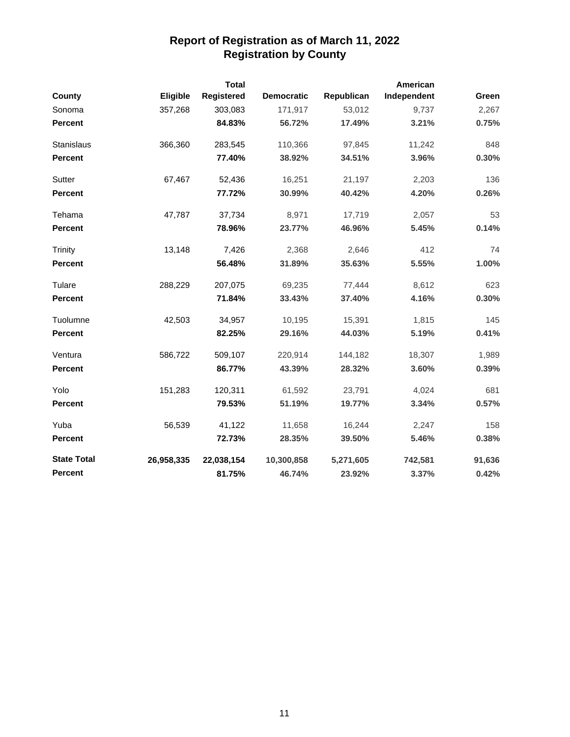|                    |            | <b>Total</b> |                   |            | American    |        |
|--------------------|------------|--------------|-------------------|------------|-------------|--------|
| <b>County</b>      | Eligible   | Registered   | <b>Democratic</b> | Republican | Independent | Green  |
| Sonoma             | 357,268    | 303,083      | 171,917           | 53,012     | 9,737       | 2,267  |
| <b>Percent</b>     |            | 84.83%       | 56.72%            | 17.49%     | 3.21%       | 0.75%  |
| Stanislaus         | 366,360    | 283,545      | 110,366           | 97,845     | 11,242      | 848    |
| Percent            |            | 77.40%       | 38.92%            | 34.51%     | 3.96%       | 0.30%  |
| Sutter             | 67,467     | 52,436       | 16,251            | 21,197     | 2,203       | 136    |
| <b>Percent</b>     |            | 77.72%       | 30.99%            | 40.42%     | 4.20%       | 0.26%  |
| Tehama             | 47,787     | 37,734       | 8,971             | 17,719     | 2,057       | 53     |
| Percent            |            | 78.96%       | 23.77%            | 46.96%     | 5.45%       | 0.14%  |
| <b>Trinity</b>     | 13,148     | 7,426        | 2,368             | 2,646      | 412         | 74     |
| <b>Percent</b>     |            | 56.48%       | 31.89%            | 35.63%     | 5.55%       | 1.00%  |
| Tulare             | 288,229    | 207,075      | 69,235            | 77,444     | 8,612       | 623    |
| <b>Percent</b>     |            | 71.84%       | 33.43%            | 37.40%     | 4.16%       | 0.30%  |
| Tuolumne           | 42,503     | 34,957       | 10,195            | 15,391     | 1,815       | 145    |
| <b>Percent</b>     |            | 82.25%       | 29.16%            | 44.03%     | 5.19%       | 0.41%  |
| Ventura            | 586,722    | 509,107      | 220,914           | 144,182    | 18,307      | 1,989  |
| <b>Percent</b>     |            | 86.77%       | 43.39%            | 28.32%     | 3.60%       | 0.39%  |
| Yolo               | 151,283    | 120,311      | 61,592            | 23,791     | 4,024       | 681    |
| <b>Percent</b>     |            | 79.53%       | 51.19%            | 19.77%     | 3.34%       | 0.57%  |
| Yuba               | 56,539     | 41,122       | 11,658            | 16,244     | 2,247       | 158    |
| Percent            |            | 72.73%       | 28.35%            | 39.50%     | 5.46%       | 0.38%  |
| <b>State Total</b> | 26,958,335 | 22,038,154   | 10,300,858        | 5,271,605  | 742,581     | 91,636 |
| <b>Percent</b>     |            | 81.75%       | 46.74%            | 23.92%     | 3.37%       | 0.42%  |